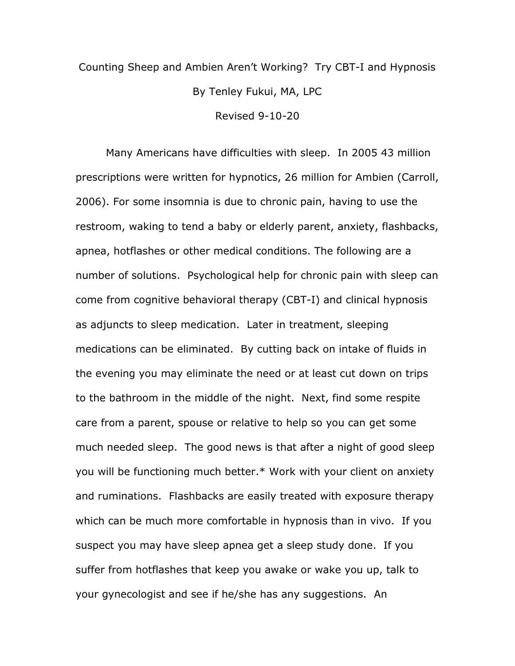## Counting Sheep and Ambien Aren't Working? Try CBT-I and Hypnosis By Tenley Fukui, MA, LPC Revised 9-10-20

Many Americans have difficulties with sleep. In 2005 43 million prescriptions were written for hypnotics, 26 million for Ambien (Carroll, 2006). For some insomnia is due to chronic pain, having to use the restroom, waking to tend a baby or elderly parent, anxiety, flashbacks, apnea, hotflashes or other medical conditions. The following are a number of solutions. Psychological help for chronic pain with sleep can come from cognitive behavioral therapy (CBT-I) and clinical hypnosis as adjuncts to sleep medication. Later in treatment, sleeping medications can be eliminated. By cutting back on intake of fluids in the evening you may eliminate the need or at least cut down on trips to the bathroom in the middle of the night. Next, find some respite care from a parent, spouse or relative to help so you can get some much needed sleep. The good news is that after a night of good sleep you will be functioning much better.\* Work with your client on anxiety and ruminations. Flashbacks are easily treated with exposure therapy which can be much more comfortable in hypnosis than in vivo. If you suspect you may have sleep apnea get a sleep study done. If you suffer from hotflashes that keep you awake or wake you up, talk to your gynecologist and see if he/she has any suggestions. An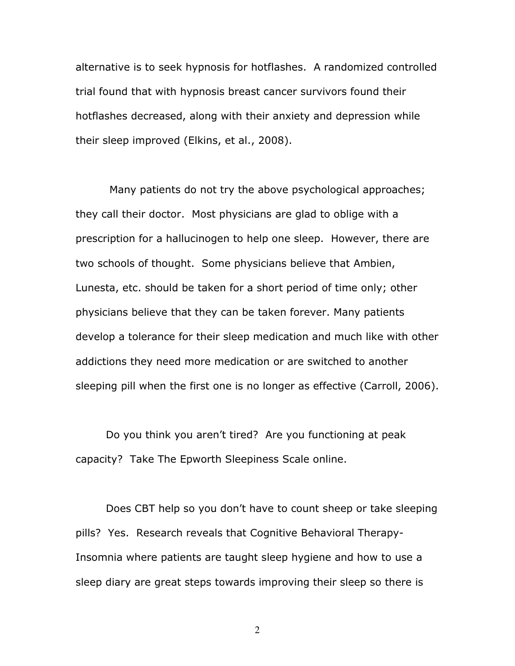alternative is to seek hypnosis for hotflashes. A randomized controlled trial found that with hypnosis breast cancer survivors found their hotflashes decreased, along with their anxiety and depression while their sleep improved (Elkins, et al., 2008).

 Many patients do not try the above psychological approaches; they call their doctor. Most physicians are glad to oblige with a prescription for a hallucinogen to help one sleep. However, there are two schools of thought. Some physicians believe that Ambien, Lunesta, etc. should be taken for a short period of time only; other physicians believe that they can be taken forever. Many patients develop a tolerance for their sleep medication and much like with other addictions they need more medication or are switched to another sleeping pill when the first one is no longer as effective (Carroll, 2006).

Do you think you aren't tired? Are you functioning at peak capacity? Take The Epworth Sleepiness Scale online.

Does CBT help so you don't have to count sheep or take sleeping pills? Yes. Research reveals that Cognitive Behavioral Therapy-Insomnia where patients are taught sleep hygiene and how to use a sleep diary are great steps towards improving their sleep so there is

2